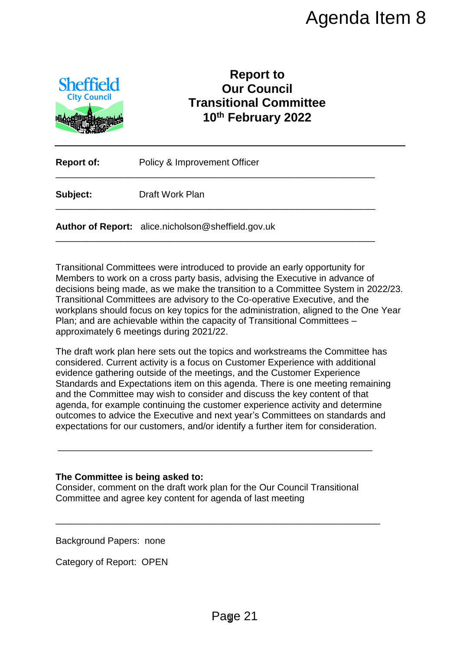

## **Report to Our Council Transitional Committee 10th February 2022**

| <b>Report of:</b> | Policy & Improvement Officer                       |  |  |
|-------------------|----------------------------------------------------|--|--|
| Subject:          | Draft Work Plan                                    |  |  |
|                   | Author of Report: alice.nicholson@sheffield.gov.uk |  |  |

\_\_\_\_\_\_\_\_\_\_\_\_\_\_\_\_\_\_\_\_\_\_\_\_\_\_\_\_\_\_\_\_\_\_\_\_\_\_\_\_\_\_\_\_\_\_\_\_\_\_\_\_\_\_\_\_\_\_\_\_\_\_

Transitional Committees were introduced to provide an early opportunity for Members to work on a cross party basis, advising the Executive in advance of decisions being made, as we make the transition to a Committee System in 2022/23. Transitional Committees are advisory to the Co-operative Executive, and the workplans should focus on key topics for the administration, aligned to the One Year Plan; and are achievable within the capacity of Transitional Committees – approximately 6 meetings during 2021/22.

The draft work plan here sets out the topics and workstreams the Committee has considered. Current activity is a focus on Customer Experience with additional evidence gathering outside of the meetings, and the Customer Experience Standards and Expectations item on this agenda. There is one meeting remaining and the Committee may wish to consider and discuss the key content of that agenda, for example continuing the customer experience activity and determine outcomes to advice the Executive and next year's Committees on standards and expectations for our customers, and/or identify a further item for consideration. Agenda Item 8<br>
Report to<br>
Our Council<br>
nsitional Committee<br>
D<sup>th</sup> February 2022<br>
<br>
ment Officer<br>
ment Officer<br>
and the Executive in advance of<br>
sis, advising the Executive in advance of<br>
the Co-operative Executive, and the

## **The Committee is being asked to:**

Consider, comment on the draft work plan for the Our Council Transitional Committee and agree key content for agenda of last meeting

\_\_\_\_\_\_\_\_\_\_\_\_\_\_\_\_\_\_\_\_\_\_\_\_\_\_\_\_\_\_\_\_\_\_\_\_\_\_\_\_\_\_\_\_\_\_\_\_\_\_\_\_\_\_\_\_\_\_\_\_\_\_\_

\_\_\_\_\_\_\_\_\_\_\_\_\_\_\_\_\_\_\_\_\_\_\_\_\_\_\_\_\_\_\_\_\_\_\_\_\_\_\_\_\_\_\_\_\_\_\_\_\_\_\_\_\_\_\_\_\_\_\_\_\_

Background Papers: none

Category of Report: OPEN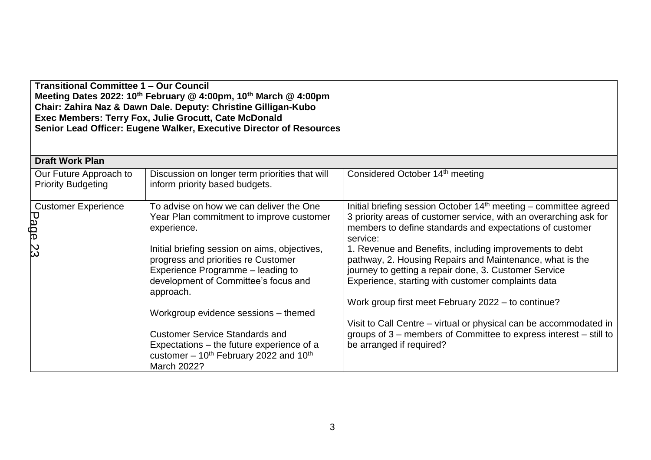**Transitional Committee 1 – Our Council Meeting Dates 2022: 10th February @ 4:00pm, 10th March @ 4:00pm Chair: Zahira Naz & Dawn Dale. Deputy: Christine Gilligan-Kubo Exec Members: Terry Fox, Julie Grocutt, Cate McDonald Senior Lead Officer: Eugene Walker, Executive Director of Resources**

| <b>Draft Work Plan</b>                              |                                                                                                                                                                                |                                                                                                                                                                                                                                    |  |  |  |  |
|-----------------------------------------------------|--------------------------------------------------------------------------------------------------------------------------------------------------------------------------------|------------------------------------------------------------------------------------------------------------------------------------------------------------------------------------------------------------------------------------|--|--|--|--|
| Our Future Approach to<br><b>Priority Budgeting</b> | Discussion on longer term priorities that will<br>inform priority based budgets.                                                                                               | Considered October 14 <sup>th</sup> meeting                                                                                                                                                                                        |  |  |  |  |
| <b>Customer Experience</b><br>Page                  | To advise on how we can deliver the One<br>Year Plan commitment to improve customer<br>experience.                                                                             | Initial briefing session October $14th$ meeting – committee agreed<br>3 priority areas of customer service, with an overarching ask for<br>members to define standards and expectations of customer<br>service:                    |  |  |  |  |
| လ္က                                                 | Initial briefing session on aims, objectives,<br>progress and priorities re Customer<br>Experience Programme - leading to<br>development of Committee's focus and<br>approach. | 1. Revenue and Benefits, including improvements to debt<br>pathway, 2. Housing Repairs and Maintenance, what is the<br>journey to getting a repair done, 3. Customer Service<br>Experience, starting with customer complaints data |  |  |  |  |
|                                                     | Workgroup evidence sessions - themed                                                                                                                                           | Work group first meet February 2022 – to continue?                                                                                                                                                                                 |  |  |  |  |
|                                                     | <b>Customer Service Standards and</b><br>Expectations - the future experience of a<br>customer $-10^{th}$ February 2022 and 10 <sup>th</sup><br>March 2022?                    | Visit to Call Centre – virtual or physical can be accommodated in<br>groups of 3 – members of Committee to express interest – still to<br>be arranged if required?                                                                 |  |  |  |  |